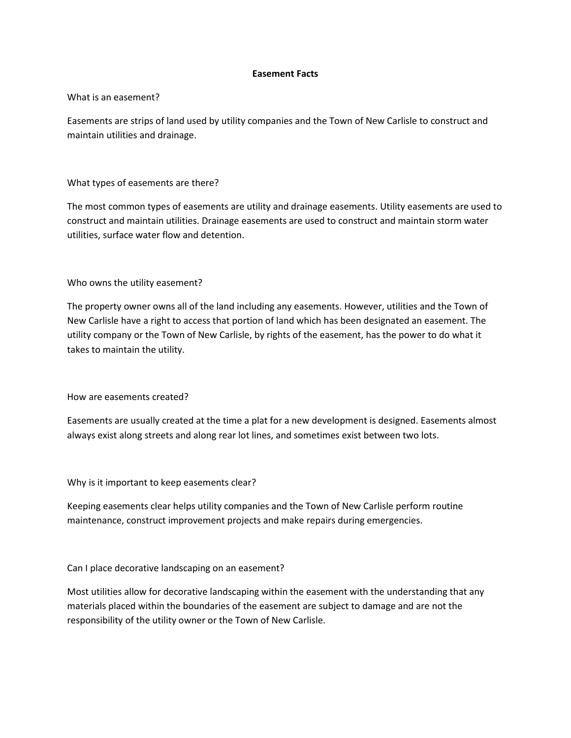## **Easement Facts**

#### What is an easement?

Easements are strips of land used by utility companies and the Town of New Carlisle to construct and maintain utilities and drainage.

## What types of easements are there?

The most common types of easements are utility and drainage easements. Utility easements are used to construct and maintain utilities. Drainage easements are used to construct and maintain storm water utilities, surface water flow and detention.

Who owns the utility easement?

The property owner owns all of the land including any easements. However, utilities and the Town of New Carlisle have a right to access that portion of land which has been designated an easement. The utility company or the Town of New Carlisle, by rights of the easement, has the power to do what it takes to maintain the utility.

How are easements created?

Easements are usually created at the time a plat for a new development is designed. Easements almost always exist along streets and along rear lot lines, and sometimes exist between two lots.

Why is it important to keep easements clear?

Keeping easements clear helps utility companies and the Town of New Carlisle perform routine maintenance, construct improvement projects and make repairs during emergencies.

Can I place decorative landscaping on an easement?

Most utilities allow for decorative landscaping within the easement with the understanding that any materials placed within the boundaries of the easement are subject to damage and are not the responsibility of the utility owner or the Town of New Carlisle.